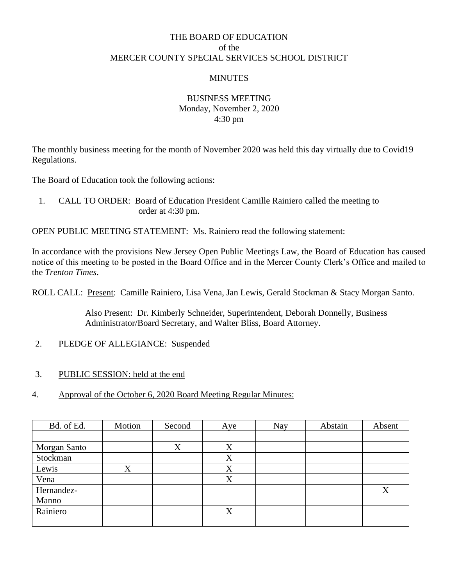## THE BOARD OF EDUCATION of the MERCER COUNTY SPECIAL SERVICES SCHOOL DISTRICT

#### **MINUTES**

### BUSINESS MEETING Monday, November 2, 2020 4:30 pm

The monthly business meeting for the month of November 2020 was held this day virtually due to Covid19 Regulations.

The Board of Education took the following actions:

1. CALL TO ORDER: Board of Education President Camille Rainiero called the meeting to order at 4:30 pm.

OPEN PUBLIC MEETING STATEMENT: Ms. Rainiero read the following statement:

In accordance with the provisions New Jersey Open Public Meetings Law, the Board of Education has caused notice of this meeting to be posted in the Board Office and in the Mercer County Clerk's Office and mailed to the *Trenton Times*.

ROLL CALL: Present: Camille Rainiero, Lisa Vena, Jan Lewis, Gerald Stockman & Stacy Morgan Santo.

Also Present: Dr. Kimberly Schneider, Superintendent, Deborah Donnelly, Business Administrator/Board Secretary, and Walter Bliss, Board Attorney.

- 2. PLEDGE OF ALLEGIANCE: Suspended
- 3. PUBLIC SESSION: held at the end
- 4. Approval of the October 6, 2020 Board Meeting Regular Minutes:

| Bd. of Ed.   | Motion  | Second | Aye | <b>Nay</b> | Abstain | Absent |
|--------------|---------|--------|-----|------------|---------|--------|
|              |         |        |     |            |         |        |
| Morgan Santo |         | X      | X   |            |         |        |
| Stockman     |         |        | X   |            |         |        |
| Lewis        | $\rm X$ |        | X   |            |         |        |
| Vena         |         |        | X   |            |         |        |
| Hernandez-   |         |        |     |            |         | X      |
| Manno        |         |        |     |            |         |        |
| Rainiero     |         |        | X   |            |         |        |
|              |         |        |     |            |         |        |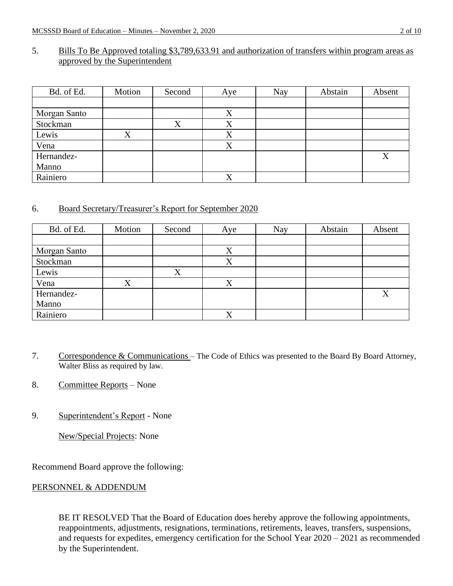#### 5. Bills To Be Approved totaling \$3,789,633.91 and authorization of transfers within program areas as approved by the Superintendent

| Bd. of Ed.   | Motion | Second | Aye               | Nay | Abstain | Absent |
|--------------|--------|--------|-------------------|-----|---------|--------|
|              |        |        |                   |     |         |        |
| Morgan Santo |        |        | X                 |     |         |        |
| Stockman     |        | X      | Χ                 |     |         |        |
| Lewis        | v<br>л |        | $\Lambda$         |     |         |        |
| Vena         |        |        | $\mathbf{v}$<br>Λ |     |         |        |
| Hernandez-   |        |        |                   |     |         | X      |
| Manno        |        |        |                   |     |         |        |
| Rainiero     |        |        | X                 |     |         |        |

### 6. Board Secretary/Treasurer's Report for September 2020

| Bd. of Ed.   | Motion | Second | Aye               | <b>Nay</b> | Abstain | Absent            |
|--------------|--------|--------|-------------------|------------|---------|-------------------|
|              |        |        |                   |            |         |                   |
| Morgan Santo |        |        | X                 |            |         |                   |
| Stockman     |        |        | X                 |            |         |                   |
| Lewis        |        | X      |                   |            |         |                   |
| Vena         | X      |        | X                 |            |         |                   |
| Hernandez-   |        |        |                   |            |         | $\rm\overline{X}$ |
| Manno        |        |        |                   |            |         |                   |
| Rainiero     |        |        | $\mathbf{v}$<br>Λ |            |         |                   |

- 7. Correspondence & Communications The Code of Ethics was presented to the Board By Board Attorney, Walter Bliss as required by law.
- 8. Committee Reports None
- 9. Superintendent's Report None

New/Special Projects: None

Recommend Board approve the following:

### PERSONNEL & ADDENDUM

BE IT RESOLVED That the Board of Education does hereby approve the following appointments, reappointments, adjustments, resignations, terminations, retirements, leaves, transfers, suspensions, and requests for expedites, emergency certification for the School Year 2020 – 2021 as recommended by the Superintendent.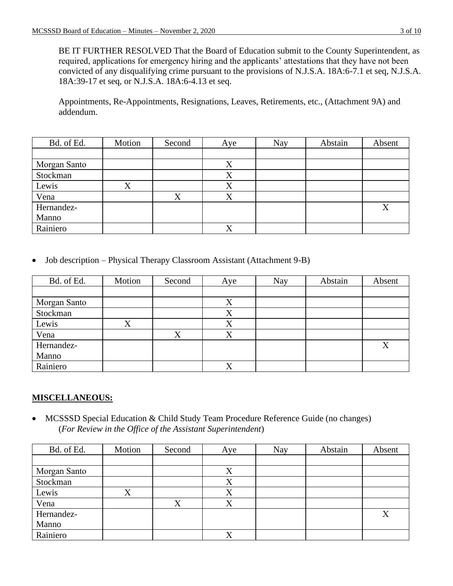BE IT FURTHER RESOLVED That the Board of Education submit to the County Superintendent, as required, applications for emergency hiring and the applicants' attestations that they have not been convicted of any disqualifying crime pursuant to the provisions of N.J.S.A. 18A:6-7.1 et seq, N.J.S.A. 18A:39-17 et seq, or N.J.S.A. 18A:6-4.13 et seq.

Appointments, Re-Appointments, Resignations, Leaves, Retirements, etc., (Attachment 9A) and addendum.

| Bd. of Ed.   | Motion | Second            | Aye | Nay | Abstain | Absent |
|--------------|--------|-------------------|-----|-----|---------|--------|
|              |        |                   |     |     |         |        |
| Morgan Santo |        |                   | X   |     |         |        |
| Stockman     |        |                   | X   |     |         |        |
| Lewis        | X      |                   | X   |     |         |        |
| Vena         |        | $\rm\overline{X}$ | X   |     |         |        |
| Hernandez-   |        |                   |     |     |         | X      |
| Manno        |        |                   |     |     |         |        |
| Rainiero     |        |                   | X   |     |         |        |

• Job description – Physical Therapy Classroom Assistant (Attachment 9-B)

| Bd. of Ed.   | Motion            | Second | Aye               | Nay | Abstain | Absent |
|--------------|-------------------|--------|-------------------|-----|---------|--------|
|              |                   |        |                   |     |         |        |
| Morgan Santo |                   |        | X                 |     |         |        |
| Stockman     |                   |        | X                 |     |         |        |
| Lewis        | $\rm\overline{X}$ |        | X                 |     |         |        |
| Vena         |                   | X      | X                 |     |         |        |
| Hernandez-   |                   |        |                   |     |         | X      |
| Manno        |                   |        |                   |     |         |        |
| Rainiero     |                   |        | $\mathbf{x}$<br>Λ |     |         |        |

## **MISCELLANEOUS:**

• MCSSSD Special Education & Child Study Team Procedure Reference Guide (no changes) (*For Review in the Office of the Assistant Superintendent*)

| Bd. of Ed.   | Motion | Second | Aye          | Nay | Abstain | Absent |
|--------------|--------|--------|--------------|-----|---------|--------|
|              |        |        |              |     |         |        |
| Morgan Santo |        |        | X            |     |         |        |
| Stockman     |        |        | X            |     |         |        |
| Lewis        | X      |        | X            |     |         |        |
| Vena         |        | Χ      | v            |     |         |        |
| Hernandez-   |        |        |              |     |         | X      |
| Manno        |        |        |              |     |         |        |
| Rainiero     |        |        | $\mathbf{v}$ |     |         |        |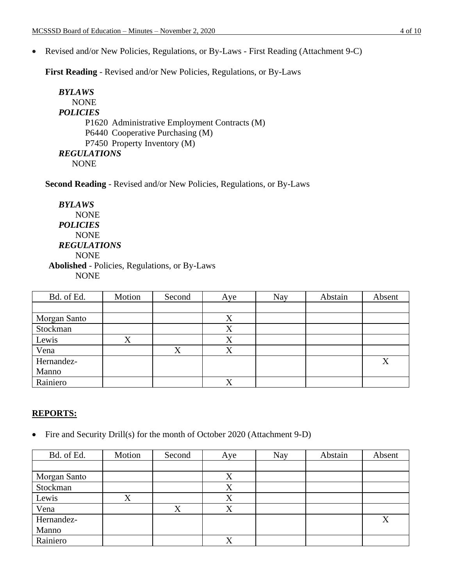• Revised and/or New Policies, Regulations, or By-Laws - First Reading (Attachment 9-C)

**First Reading** - Revised and/or New Policies, Regulations, or By-Laws

```
BYLAWS
   NONE
POLICIES
      P1620 Administrative Employment Contracts (M)
      P6440 Cooperative Purchasing (M)
      P7450 Property Inventory (M)
REGULATIONS
   NONE
```
**Second Reading** - Revised and/or New Policies, Regulations, or By-Laws

*BYLAWS* NONE *POLICIES* NONE *REGULATIONS* NONE **Abolished** - Policies, Regulations, or By-Laws NONE

| Bd. of Ed.   | Motion | Second         | Aye               | Nay | Abstain | Absent  |
|--------------|--------|----------------|-------------------|-----|---------|---------|
|              |        |                |                   |     |         |         |
| Morgan Santo |        |                | $\rm\overline{X}$ |     |         |         |
| Stockman     |        |                | X                 |     |         |         |
| Lewis        | X      |                | X                 |     |         |         |
| Vena         |        | v<br>$\lambda$ | $\mathbf{v}$<br>A |     |         |         |
| Hernandez-   |        |                |                   |     |         | $\rm X$ |
| Manno        |        |                |                   |     |         |         |
| Rainiero     |        |                | v                 |     |         |         |

#### **REPORTS:**

• Fire and Security Drill(s) for the month of October 2020 (Attachment 9-D)

| Bd. of Ed.   | Motion            | Second | Aye               | Nay | Abstain | Absent |
|--------------|-------------------|--------|-------------------|-----|---------|--------|
|              |                   |        |                   |     |         |        |
| Morgan Santo |                   |        | X                 |     |         |        |
| Stockman     |                   |        | X                 |     |         |        |
| Lewis        | $\rm\overline{X}$ |        | X                 |     |         |        |
| Vena         |                   | X      | X                 |     |         |        |
| Hernandez-   |                   |        |                   |     |         | X      |
| Manno        |                   |        |                   |     |         |        |
| Rainiero     |                   |        | $\mathbf{x}$<br>Λ |     |         |        |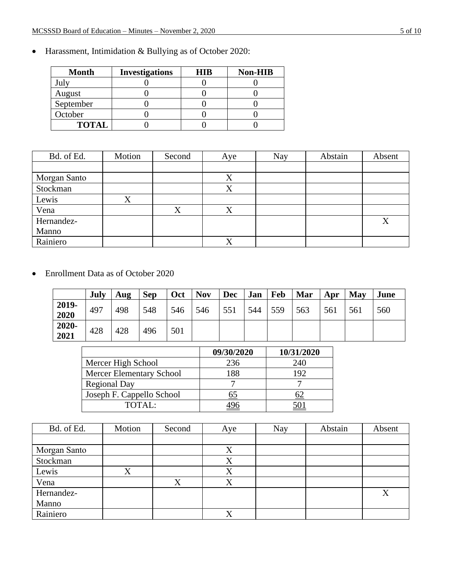| <b>Month</b> | <b>Investigations</b> | <b>HIR</b> | <b>Non-HIB</b> |
|--------------|-----------------------|------------|----------------|
|              |                       |            |                |
| August       |                       |            |                |
| September    |                       |            |                |
| October      |                       |            |                |
| <b>TOTAL</b> |                       |            |                |

• Harassment, Intimidation & Bullying as of October 2020:

| Bd. of Ed.   | Motion | Second           | Aye               | Nay | Abstain | Absent |
|--------------|--------|------------------|-------------------|-----|---------|--------|
|              |        |                  |                   |     |         |        |
| Morgan Santo |        |                  | $\rm\overline{X}$ |     |         |        |
| Stockman     |        |                  | X                 |     |         |        |
| Lewis        | v      |                  |                   |     |         |        |
| Vena         |        | $\mathbf v$<br>л | $\rm\overline{X}$ |     |         |        |
| Hernandez-   |        |                  |                   |     |         | X      |
| Manno        |        |                  |                   |     |         |        |
| Rainiero     |        |                  |                   |     |         |        |

• Enrollment Data as of October 2020

|                 | July | Aug | <b>Sep</b> | <b>Oct</b> | <b>Nov</b> | <b>Dec</b> | Jan | Feb | Mar | Apr | May | June |
|-----------------|------|-----|------------|------------|------------|------------|-----|-----|-----|-----|-----|------|
| 2019-<br>2020   | 497  | 498 | 548        | 546        | 546        | 551        | 544 | 559 | 563 | 561 | 561 | 560  |
| $2020-$<br>2021 | 428  | 428 | 496        | 501        |            |            |     |     |     |     |     |      |

|                                 | 09/30/2020 | 10/31/2020 |
|---------------------------------|------------|------------|
| Mercer High School              | 236        | 240        |
| <b>Mercer Elementary School</b> | 188        | 192        |
| <b>Regional Day</b>             |            |            |
| Joseph F. Cappello School       |            |            |
| TOTAI:                          |            |            |

| Bd. of Ed.   | Motion  | Second | Aye | Nay | Abstain | Absent |
|--------------|---------|--------|-----|-----|---------|--------|
|              |         |        |     |     |         |        |
| Morgan Santo |         |        | X   |     |         |        |
| Stockman     |         |        | Χ   |     |         |        |
| Lewis        | $\rm X$ |        | X   |     |         |        |
| Vena         |         | X      | X   |     |         |        |
| Hernandez-   |         |        |     |     |         | X      |
| Manno        |         |        |     |     |         |        |
| Rainiero     |         |        |     |     |         |        |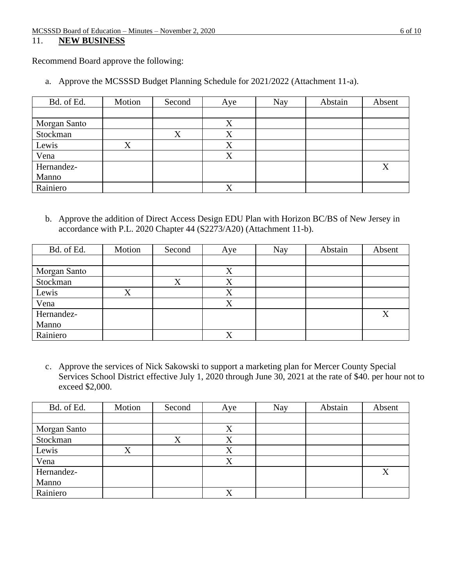## 11. **NEW BUSINESS**

Recommend Board approve the following:

a. Approve the MCSSSD Budget Planning Schedule for 2021/2022 (Attachment 11-a).

| Bd. of Ed.   | Motion | Second | Aye               | <b>Nay</b> | Abstain | Absent |
|--------------|--------|--------|-------------------|------------|---------|--------|
|              |        |        |                   |            |         |        |
| Morgan Santo |        |        | X                 |            |         |        |
| Stockman     |        | X      | X                 |            |         |        |
| Lewis        | Χ      |        | X                 |            |         |        |
| Vena         |        |        | $\mathbf{v}$<br>Λ |            |         |        |
| Hernandez-   |        |        |                   |            |         | X      |
| Manno        |        |        |                   |            |         |        |
| Rainiero     |        |        |                   |            |         |        |

b. Approve the addition of Direct Access Design EDU Plan with Horizon BC/BS of New Jersey in accordance with P.L. 2020 Chapter 44 (S2273/A20) (Attachment 11-b).

| Bd. of Ed.   | Motion | Second | Aye              | Nay | Abstain | Absent |
|--------------|--------|--------|------------------|-----|---------|--------|
|              |        |        |                  |     |         |        |
| Morgan Santo |        |        | Χ                |     |         |        |
| Stockman     |        | X      | X                |     |         |        |
| Lewis        | X      |        | X                |     |         |        |
| Vena         |        |        | $\mathbf v$<br>Λ |     |         |        |
| Hernandez-   |        |        |                  |     |         | X      |
| Manno        |        |        |                  |     |         |        |
| Rainiero     |        |        | v                |     |         |        |

c. Approve the services of Nick Sakowski to support a marketing plan for Mercer County Special Services School District effective July 1, 2020 through June 30, 2021 at the rate of \$40. per hour not to exceed \$2,000.

| Bd. of Ed.   | Motion | Second | Aye     | <b>Nay</b> | Abstain | Absent |
|--------------|--------|--------|---------|------------|---------|--------|
|              |        |        |         |            |         |        |
| Morgan Santo |        |        | X       |            |         |        |
| Stockman     |        | v<br>Λ | X       |            |         |        |
| Lewis        | Х      |        | Χ       |            |         |        |
| Vena         |        |        | Χ       |            |         |        |
| Hernandez-   |        |        |         |            |         | X      |
| Manno        |        |        |         |            |         |        |
| Rainiero     |        |        | $\rm X$ |            |         |        |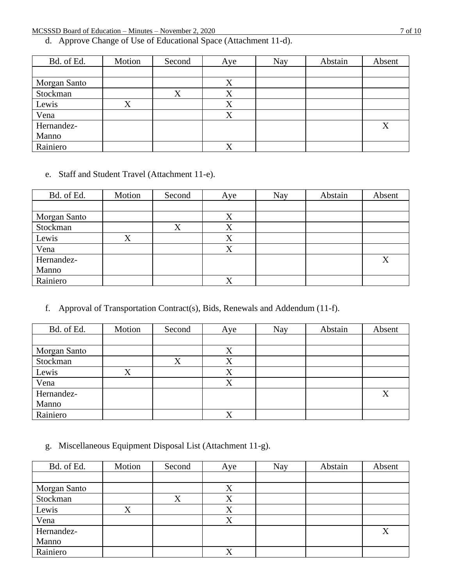d. Approve Change of Use of Educational Space (Attachment 11-d).

| Bd. of Ed.   | Motion  | Second | Aye | Nay | Abstain | Absent |
|--------------|---------|--------|-----|-----|---------|--------|
|              |         |        |     |     |         |        |
| Morgan Santo |         |        | X   |     |         |        |
| Stockman     |         | X      | X   |     |         |        |
| Lewis        | $\rm X$ |        | X   |     |         |        |
| Vena         |         |        | X   |     |         |        |
| Hernandez-   |         |        |     |     |         | X      |
| Manno        |         |        |     |     |         |        |
| Rainiero     |         |        |     |     |         |        |

e. Staff and Student Travel (Attachment 11-e).

| Bd. of Ed.   | Motion            | Second | Aye         | <b>Nay</b> | Abstain | Absent |
|--------------|-------------------|--------|-------------|------------|---------|--------|
|              |                   |        |             |            |         |        |
| Morgan Santo |                   |        | $\rm X$     |            |         |        |
| Stockman     |                   | X      | X           |            |         |        |
| Lewis        | $\rm\overline{X}$ |        | X           |            |         |        |
| Vena         |                   |        | X           |            |         |        |
| Hernandez-   |                   |        |             |            |         | X      |
| Manno        |                   |        |             |            |         |        |
| Rainiero     |                   |        | $\mathbf v$ |            |         |        |

f. Approval of Transportation Contract(s), Bids, Renewals and Addendum (11-f).

| Bd. of Ed.   | Motion | Second | Aye               | Nay | Abstain | Absent |
|--------------|--------|--------|-------------------|-----|---------|--------|
|              |        |        |                   |     |         |        |
| Morgan Santo |        |        | $\rm\overline{X}$ |     |         |        |
| Stockman     |        | Χ      | X                 |     |         |        |
| Lewis        | X      |        | $\rm X$           |     |         |        |
| Vena         |        |        | $\mathbf{v}$<br>Λ |     |         |        |
| Hernandez-   |        |        |                   |     |         | X      |
| Manno        |        |        |                   |     |         |        |
| Rainiero     |        |        | $\mathbf{v}$<br>л |     |         |        |

g. Miscellaneous Equipment Disposal List (Attachment 11-g).

| Bd. of Ed.   | Motion | Second | Aye         | Nay | Abstain | Absent |
|--------------|--------|--------|-------------|-----|---------|--------|
|              |        |        |             |     |         |        |
| Morgan Santo |        |        | X           |     |         |        |
| Stockman     |        | X      | X           |     |         |        |
| Lewis        | X      |        | X           |     |         |        |
| Vena         |        |        | v           |     |         |        |
| Hernandez-   |        |        |             |     |         | X      |
| Manno        |        |        |             |     |         |        |
| Rainiero     |        |        | $\mathbf v$ |     |         |        |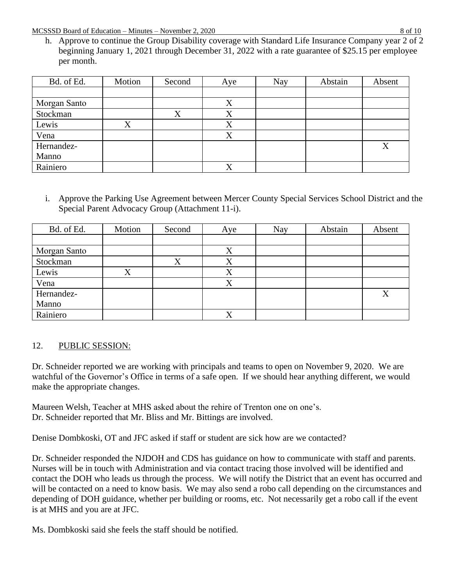h. Approve to continue the Group Disability coverage with Standard Life Insurance Company year 2 of 2 beginning January 1, 2021 through December 31, 2022 with a rate guarantee of \$25.15 per employee per month.

| Bd. of Ed.   | Motion | Second | Aye | <b>Nay</b> | Abstain | Absent |
|--------------|--------|--------|-----|------------|---------|--------|
|              |        |        |     |            |         |        |
| Morgan Santo |        |        | X   |            |         |        |
| Stockman     |        | X      | X   |            |         |        |
| Lewis        | X      |        | X   |            |         |        |
| Vena         |        |        | X   |            |         |        |
| Hernandez-   |        |        |     |            |         | X      |
| Manno        |        |        |     |            |         |        |
| Rainiero     |        |        | v   |            |         |        |

i. Approve the Parking Use Agreement between Mercer County Special Services School District and the Special Parent Advocacy Group (Attachment 11-i).

| Bd. of Ed.   | Motion            | Second | Aye               | Nay | Abstain | Absent |
|--------------|-------------------|--------|-------------------|-----|---------|--------|
|              |                   |        |                   |     |         |        |
| Morgan Santo |                   |        | X                 |     |         |        |
| Stockman     |                   | X      | X                 |     |         |        |
| Lewis        | $\rm\overline{X}$ |        | X                 |     |         |        |
| Vena         |                   |        | X                 |     |         |        |
| Hernandez-   |                   |        |                   |     |         | X      |
| Manno        |                   |        |                   |     |         |        |
| Rainiero     |                   |        | $\rm\overline{X}$ |     |         |        |

# 12. PUBLIC SESSION:

Dr. Schneider reported we are working with principals and teams to open on November 9, 2020. We are watchful of the Governor's Office in terms of a safe open. If we should hear anything different, we would make the appropriate changes.

Maureen Welsh, Teacher at MHS asked about the rehire of Trenton one on one's. Dr. Schneider reported that Mr. Bliss and Mr. Bittings are involved.

Denise Dombkoski, OT and JFC asked if staff or student are sick how are we contacted?

Dr. Schneider responded the NJDOH and CDS has guidance on how to communicate with staff and parents. Nurses will be in touch with Administration and via contact tracing those involved will be identified and contact the DOH who leads us through the process. We will notify the District that an event has occurred and will be contacted on a need to know basis. We may also send a robo call depending on the circumstances and depending of DOH guidance, whether per building or rooms, etc. Not necessarily get a robo call if the event is at MHS and you are at JFC.

Ms. Dombkoski said she feels the staff should be notified.